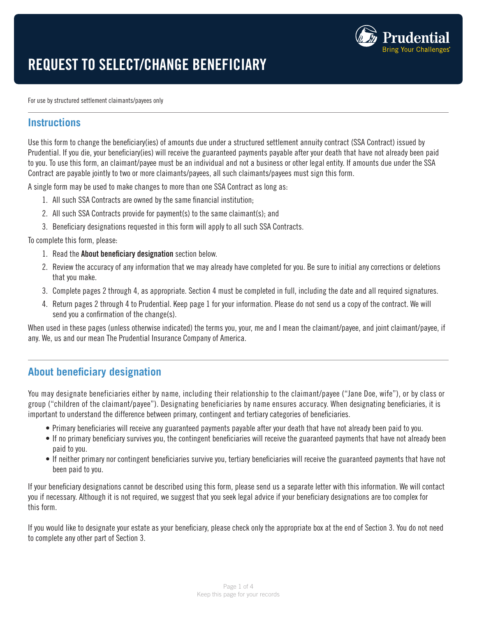

# REQUEST TO SELECT/CHANGE BENEFICIARY

For use by structured settlement claimants/payees only

#### **Instructions**

Use this form to change the beneficiary(ies) of amounts due under a structured settlement annuity contract (SSA Contract) issued by Prudential. If you die, your beneficiary(ies) will receive the guaranteed payments payable after your death that have not already been paid to you. To use this form, an claimant/payee must be an individual and not a business or other legal entity. If amounts due under the SSA Contract are payable jointly to two or more claimants/payees, all such claimants/payees must sign this form.

A single form may be used to make changes to more than one SSA Contract as long as:

- 1. All such SSA Contracts are owned by the same financial institution;
- 2. All such SSA Contracts provide for payment(s) to the same claimant(s); and
- 3. Beneficiary designations requested in this form will apply to all such SSA Contracts.

To complete this form, please:

- 1. Read the About beneficiary designation section below.
- 2. Review the accuracy of any information that we may already have completed for you. Be sure to initial any corrections or deletions that you make.
- 3. Complete pages 2 through 4, as appropriate. Section 4 must be completed in full, including the date and all required signatures.
- 4. Return pages 2 through 4 to Prudential. Keep page 1 for your information. Please do not send us a copy of the contract. We will send you a confirmation of the change(s).

When used in these pages (unless otherwise indicated) the terms you, your, me and I mean the claimant/payee, and joint claimant/payee, if any. We, us and our mean The Prudential Insurance Company of America.

# **About beneficiary designation**

You may designate beneficiaries either by name, including their relationship to the claimant/payee ("Jane Doe, wife"), or by class or group ("children of the claimant/payee"). Designating beneficiaries by name ensures accuracy. When designating beneficiaries, it is important to understand the difference between primary, contingent and tertiary categories of beneficiaries.

- Primary beneficiaries will receive any guaranteed payments payable after your death that have not already been paid to you.
- If no primary beneficiary survives you, the contingent beneficiaries will receive the guaranteed payments that have not already been paid to you.
- If neither primary nor contingent beneficiaries survive you, tertiary beneficiaries will receive the guaranteed payments that have not been paid to you.

If your beneficiary designations cannot be described using this form, please send us a separate letter with this information. We will contact you if necessary. Although it is not required, we suggest that you seek legal advice if your beneficiary designations are too complex for this form.

If you would like to designate your estate as your beneficiary, please check only the appropriate box at the end of Section 3. You do not need to complete any other part of Section 3.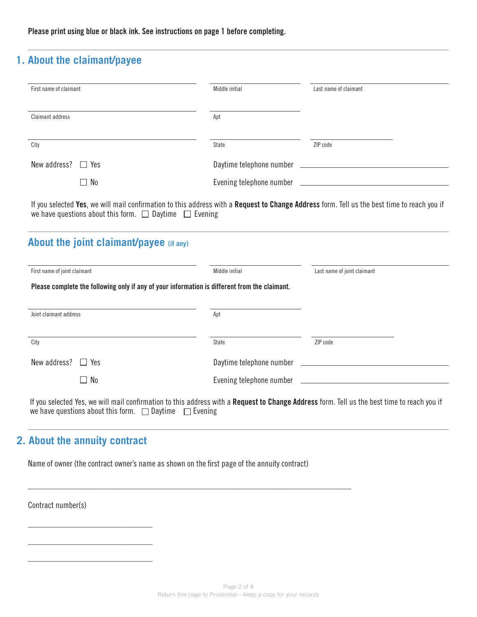Please print using blue or black ink. See instructions on page 1 before completing.

## **1. About the claimant/payee**

| First name of claimant  | Middle initial           | Last name of claimant                          |  |  |  |
|-------------------------|--------------------------|------------------------------------------------|--|--|--|
| Claimant address        | Apt                      |                                                |  |  |  |
| City                    | State                    | ZIP code                                       |  |  |  |
| New address? $\Box$ Yes | Daytime telephone number | <u> 1989 - Andrea State Barbara, politik e</u> |  |  |  |
| $\Box$ No               |                          | Evening telephone number                       |  |  |  |

If you selected Yes, we will mail confirmation to this address with a Request to Change Address form. Tell us the best time to reach you if we have questions about this form.  $\Box$  Daytime  $\Box$  Evening

# **About the joint claimant/payee (if any)**

| First name of joint claimant                                                                  | Middle initial           | Last name of joint claimant |  |  |  |  |  |
|-----------------------------------------------------------------------------------------------|--------------------------|-----------------------------|--|--|--|--|--|
| Please complete the following only if any of your information is different from the claimant. |                          |                             |  |  |  |  |  |
| Joint claimant address                                                                        | Apt                      |                             |  |  |  |  |  |
| City                                                                                          | State                    | ZIP code                    |  |  |  |  |  |
| New address? $\Box$ Yes                                                                       | Daytime telephone number |                             |  |  |  |  |  |
| $\Box$ No                                                                                     |                          |                             |  |  |  |  |  |
|                                                                                               |                          |                             |  |  |  |  |  |

If you selected Yes, we will mail confirmation to this address with a Request to Change Address form. Tell us the best time to reach you if we have questions about this form.  $\Box$  Daytime  $\Box$  Evening

# **2. About the annuity contract**

\_\_\_\_\_\_\_\_\_\_\_\_\_\_\_\_\_\_\_\_\_\_\_\_\_\_\_\_\_\_\_\_

\_\_\_\_\_\_\_\_\_\_\_\_\_\_\_\_\_\_\_\_\_\_\_\_\_\_\_\_\_\_\_\_

\_\_\_\_\_\_\_\_\_\_\_\_\_\_\_\_\_\_\_\_\_\_\_\_\_\_\_\_\_\_\_\_

Name of owner (the contract owner's name as shown on the first page of the annuity contract)

 $\_$  ,  $\_$  ,  $\_$  ,  $\_$  ,  $\_$  ,  $\_$  ,  $\_$  ,  $\_$  ,  $\_$  ,  $\_$  ,  $\_$  ,  $\_$  ,  $\_$  ,  $\_$  ,  $\_$  ,  $\_$  ,  $\_$  ,  $\_$  ,  $\_$  ,  $\_$  ,  $\_$  ,  $\_$  ,  $\_$  ,  $\_$  ,  $\_$  ,  $\_$  ,  $\_$  ,  $\_$  ,  $\_$  ,  $\_$  ,  $\_$  ,  $\_$  ,  $\_$  ,  $\_$  ,  $\_$  ,  $\_$  ,  $\_$  ,

Contract number(s)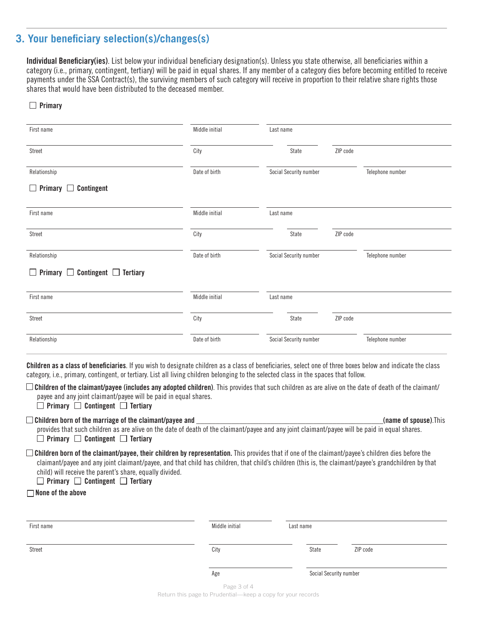### **3. Your beneficiary selection(s)/changes(s)**

Individual Beneficiary(ies). List below your individual beneficiary designation(s). Unless you state otherwise, all beneficiaries within a category (i.e., primary, contingent, tertiary) will be paid in equal shares. If any member of a category dies before becoming entitled to receive payments under the SSA Contract(s), the surviving members of such category will receive in proportion to their relative share rights those shares that would have been distributed to the deceased member.

#### $\Box$  Primary

| State                                                                                                       | ZIP code                                                                                             |                  |
|-------------------------------------------------------------------------------------------------------------|------------------------------------------------------------------------------------------------------|------------------|
|                                                                                                             |                                                                                                      | Telephone number |
|                                                                                                             |                                                                                                      |                  |
|                                                                                                             |                                                                                                      |                  |
| State                                                                                                       | ZIP code                                                                                             |                  |
|                                                                                                             |                                                                                                      | Telephone number |
|                                                                                                             |                                                                                                      |                  |
|                                                                                                             |                                                                                                      |                  |
| State                                                                                                       | ZIP code                                                                                             |                  |
|                                                                                                             |                                                                                                      | Telephone number |
| City<br>Date of birth<br>Middle initial<br>City<br>Date of birth<br>Middle initial<br>City<br>Date of birth | Social Security number<br>Last name<br>Social Security number<br>Last name<br>Social Security number |                  |

Children as a class of beneficiaries. If you wish to designate children as a class of beneficiaries, select one of three boxes below and indicate the class category, i.e., primary, contingent, or tertiary. List all living children belonging to the selected class in the spaces that follow.

 $\square$  Children of the claimant/payee (includes any adopted children). This provides that such children as are alive on the date of death of the claimant/ payee and any joint claimant/payee will be paid in equal shares.

 $\Box$  Primary  $\Box$  Contingent  $\Box$  Tertiary

Children born of the marriage of the claimant/payee and \_\_\_\_\_\_\_\_\_\_\_\_\_\_\_\_\_\_\_\_\_\_\_\_\_\_\_\_\_\_\_\_\_\_\_\_\_\_\_\_\_\_\_\_\_\_\_\_(name of spouse).This

provides that such children as are alive on the date of death of the claimant/payee and any joint claimant/payee will be paid in equal shares.  $\Box$  Primary  $\Box$  Contingent  $\Box$  Tertiary

 $\square$  Children born of the claimant/payee, their children by representation. This provides that if one of the claimant/payee's children dies before the claimant/payee and any joint claimant/payee, and that child has children, that child's children (this is, the claimant/payee's grandchildren by that child) will receive the parent's share, equally divided.

 $\Box$  Primary  $\Box$  Contingent  $\Box$  Tertiary

 $\Box$  None of the above

| First name | Middle initial | Last name              |          |  |
|------------|----------------|------------------------|----------|--|
| Street     | City           | State                  | ZIP code |  |
|            | Age            | Social Security number |          |  |

Page 3 of 4 Return this page to Prudential—keep a copy for your records